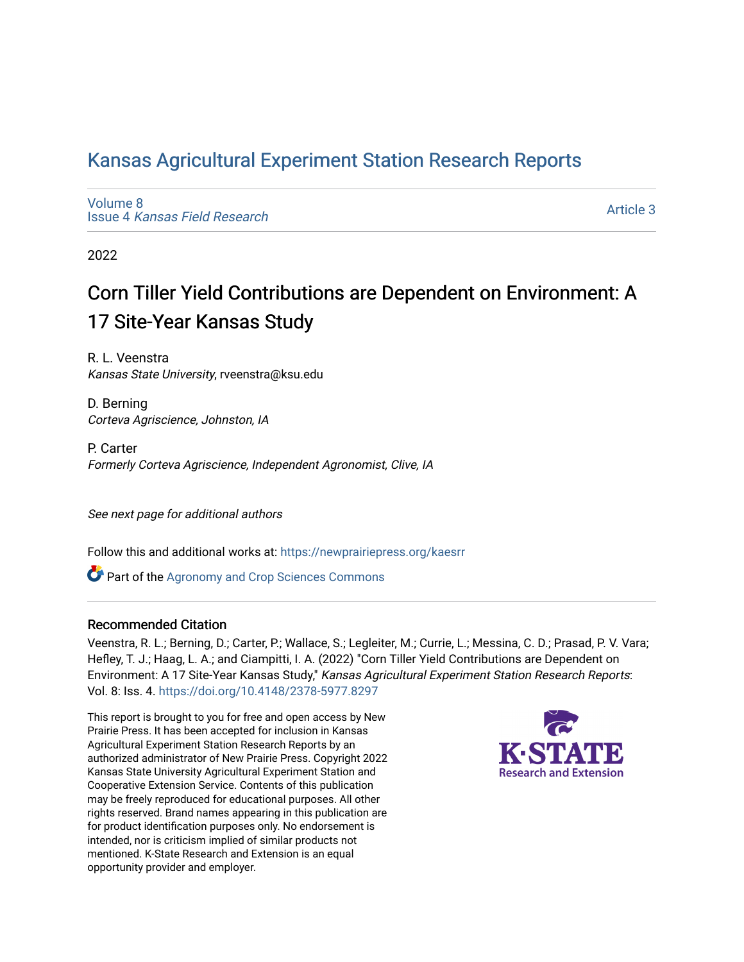## [Kansas Agricultural Experiment Station Research Reports](https://newprairiepress.org/kaesrr)

[Volume 8](https://newprairiepress.org/kaesrr/vol8) Issue 4 [Kansas Field Research](https://newprairiepress.org/kaesrr/vol8/iss4) 

[Article 3](https://newprairiepress.org/kaesrr/vol8/iss4/3) 

2022

## Corn Tiller Yield Contributions are Dependent on Environment: A 17 Site-Year Kansas Study

R. L. Veenstra Kansas State University, rveenstra@ksu.edu

D. Berning Corteva Agriscience, Johnston, IA

P. Carter Formerly Corteva Agriscience, Independent Agronomist, Clive, IA

See next page for additional authors

Follow this and additional works at: [https://newprairiepress.org/kaesrr](https://newprairiepress.org/kaesrr?utm_source=newprairiepress.org%2Fkaesrr%2Fvol8%2Fiss4%2F3&utm_medium=PDF&utm_campaign=PDFCoverPages) 

**C** Part of the Agronomy and Crop Sciences Commons

#### Recommended Citation

Veenstra, R. L.; Berning, D.; Carter, P.; Wallace, S.; Legleiter, M.; Currie, L.; Messina, C. D.; Prasad, P. V. Vara; Hefley, T. J.; Haag, L. A.; and Ciampitti, I. A. (2022) "Corn Tiller Yield Contributions are Dependent on Environment: A 17 Site-Year Kansas Study," Kansas Agricultural Experiment Station Research Reports: Vol. 8: Iss. 4. <https://doi.org/10.4148/2378-5977.8297>

This report is brought to you for free and open access by New Prairie Press. It has been accepted for inclusion in Kansas Agricultural Experiment Station Research Reports by an authorized administrator of New Prairie Press. Copyright 2022 Kansas State University Agricultural Experiment Station and Cooperative Extension Service. Contents of this publication may be freely reproduced for educational purposes. All other rights reserved. Brand names appearing in this publication are for product identification purposes only. No endorsement is intended, nor is criticism implied of similar products not mentioned. K-State Research and Extension is an equal opportunity provider and employer.

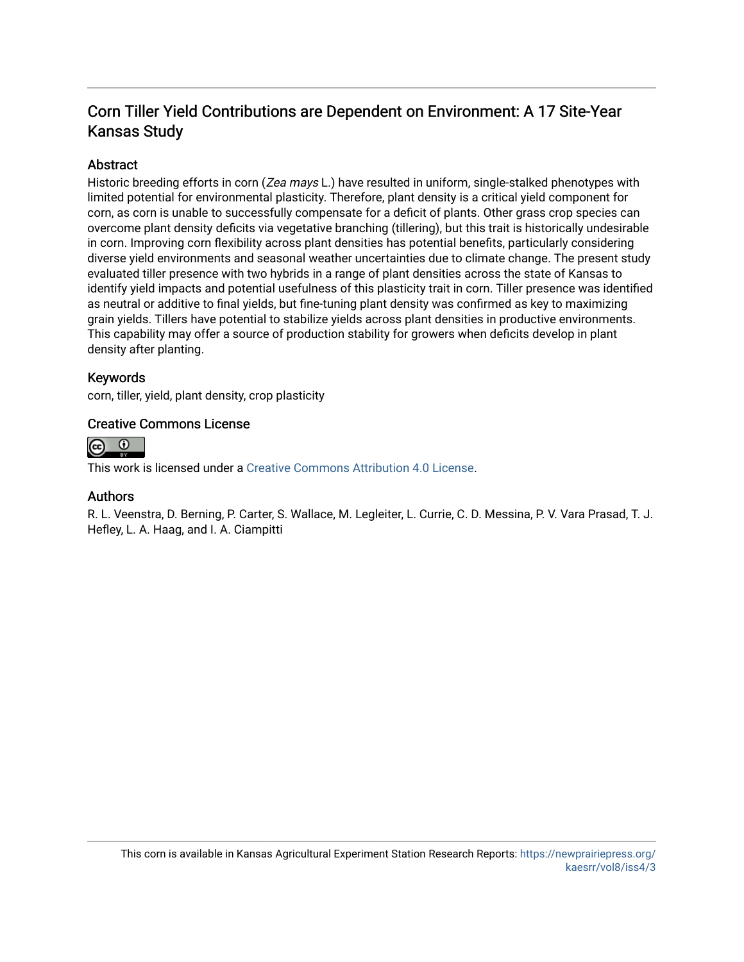## Corn Tiller Yield Contributions are Dependent on Environment: A 17 Site-Year Kansas Study

#### Abstract

Historic breeding efforts in corn (Zea mays L.) have resulted in uniform, single-stalked phenotypes with limited potential for environmental plasticity. Therefore, plant density is a critical yield component for corn, as corn is unable to successfully compensate for a deficit of plants. Other grass crop species can overcome plant density deficits via vegetative branching (tillering), but this trait is historically undesirable in corn. Improving corn flexibility across plant densities has potential benefits, particularly considering diverse yield environments and seasonal weather uncertainties due to climate change. The present study evaluated tiller presence with two hybrids in a range of plant densities across the state of Kansas to identify yield impacts and potential usefulness of this plasticity trait in corn. Tiller presence was identified as neutral or additive to final yields, but fine-tuning plant density was confirmed as key to maximizing grain yields. Tillers have potential to stabilize yields across plant densities in productive environments. This capability may offer a source of production stability for growers when deficits develop in plant density after planting.

#### Keywords

corn, tiller, yield, plant density, crop plasticity

#### Creative Commons License



This work is licensed under a [Creative Commons Attribution 4.0 License](https://creativecommons.org/licenses/by/4.0/).

#### Authors

R. L. Veenstra, D. Berning, P. Carter, S. Wallace, M. Legleiter, L. Currie, C. D. Messina, P. V. Vara Prasad, T. J. Hefley, L. A. Haag, and I. A. Ciampitti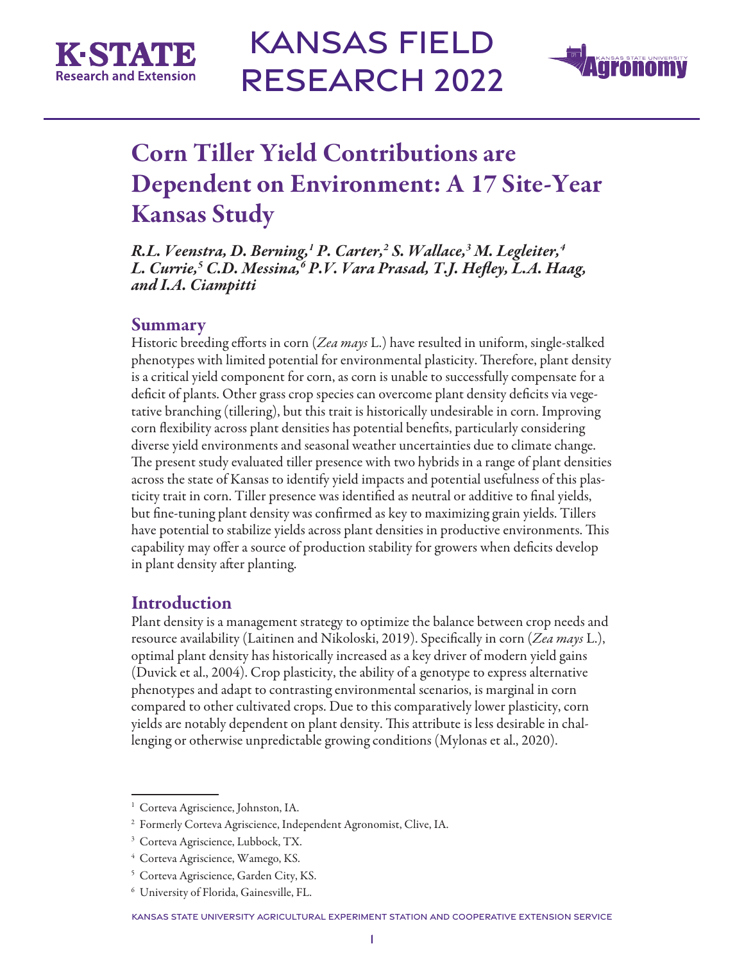



## Corn Tiller Yield Contributions are Dependent on Environment: A 17 Site-Year Kansas Study

*R.L. Veenstra, D. Berning,1 P. Carter,2 S. Wallace,3 M. Legleiter,4 L. Currie,5 C.D. Messina,6 P.V. Vara Prasad, T.J. Hefley, L.A. Haag, and I.A. Ciampitti*

#### Summary

Historic breeding efforts in corn (*Zea mays* L.) have resulted in uniform, single-stalked phenotypes with limited potential for environmental plasticity. Therefore, plant density is a critical yield component for corn, as corn is unable to successfully compensate for a deficit of plants. Other grass crop species can overcome plant density deficits via vegetative branching (tillering), but this trait is historically undesirable in corn. Improving corn flexibility across plant densities has potential benefits, particularly considering diverse yield environments and seasonal weather uncertainties due to climate change. The present study evaluated tiller presence with two hybrids in a range of plant densities across the state of Kansas to identify yield impacts and potential usefulness of this plasticity trait in corn. Tiller presence was identified as neutral or additive to final yields, but fine-tuning plant density was confirmed as key to maximizing grain yields. Tillers have potential to stabilize yields across plant densities in productive environments. This capability may offer a source of production stability for growers when deficits develop in plant density after planting.

## Introduction

Plant density is a management strategy to optimize the balance between crop needs and resource availability (Laitinen and Nikoloski, 2019). Specifically in corn (*Zea mays* L.), optimal plant density has historically increased as a key driver of modern yield gains (Duvick et al., 2004). Crop plasticity, the ability of a genotype to express alternative phenotypes and adapt to contrasting environmental scenarios, is marginal in corn compared to other cultivated crops. Due to this comparatively lower plasticity, corn yields are notably dependent on plant density. This attribute is less desirable in challenging or otherwise unpredictable growing conditions (Mylonas et al., 2020).

<sup>&</sup>lt;sup>1</sup> Corteva Agriscience, Johnston, IA.

<sup>2</sup> Formerly Corteva Agriscience, Independent Agronomist, Clive, IA.

<sup>&</sup>lt;sup>3</sup> Corteva Agriscience, Lubbock, TX.

<sup>4</sup> Corteva Agriscience, Wamego, KS.

<sup>5</sup> Corteva Agriscience, Garden City, KS.

<sup>6</sup> University of Florida, Gainesville, FL.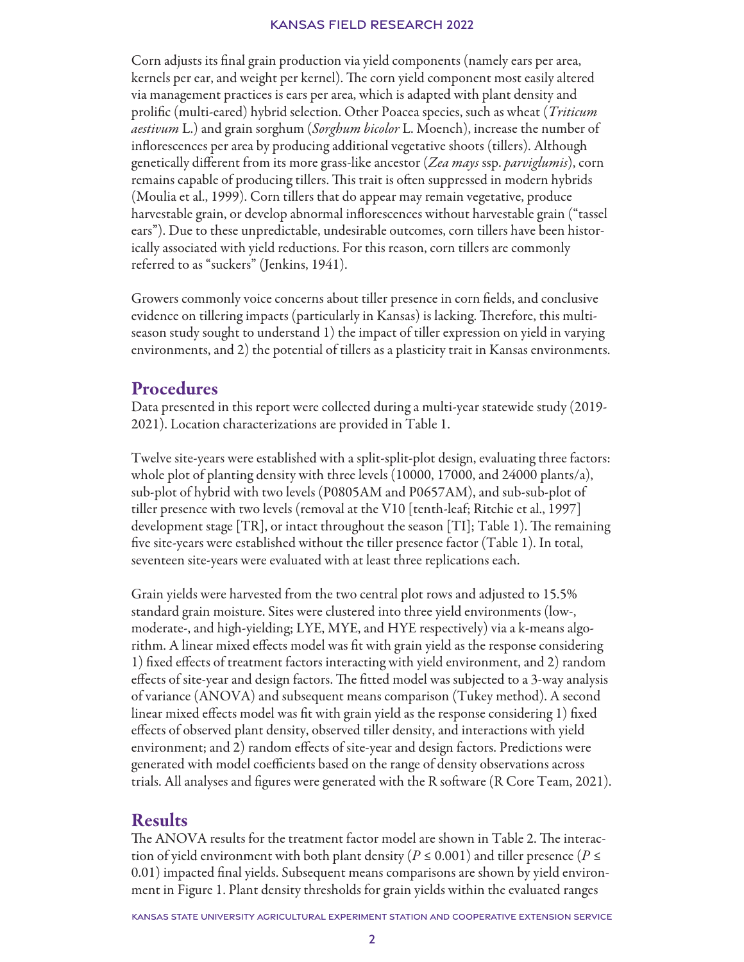Corn adjusts its final grain production via yield components (namely ears per area, kernels per ear, and weight per kernel). The corn yield component most easily altered via management practices is ears per area, which is adapted with plant density and prolific (multi-eared) hybrid selection. Other Poacea species, such as wheat (*Triticum aestivum* L.) and grain sorghum (*Sorghum bicolor* L. Moench), increase the number of inflorescences per area by producing additional vegetative shoots (tillers). Although genetically different from its more grass-like ancestor (*Zea mays* ssp. *parviglumis*), corn remains capable of producing tillers. This trait is often suppressed in modern hybrids (Moulia et al., 1999). Corn tillers that do appear may remain vegetative, produce harvestable grain, or develop abnormal inflorescences without harvestable grain ("tassel ears"). Due to these unpredictable, undesirable outcomes, corn tillers have been historically associated with yield reductions. For this reason, corn tillers are commonly referred to as "suckers" (Jenkins, 1941).

Growers commonly voice concerns about tiller presence in corn fields, and conclusive evidence on tillering impacts (particularly in Kansas) is lacking. Therefore, this multiseason study sought to understand 1) the impact of tiller expression on yield in varying environments, and 2) the potential of tillers as a plasticity trait in Kansas environments.

### Procedures

Data presented in this report were collected during a multi-year statewide study (2019- 2021). Location characterizations are provided in Table 1.

Twelve site-years were established with a split-split-plot design, evaluating three factors: whole plot of planting density with three levels (10000, 17000, and 24000 plants/a), sub-plot of hybrid with two levels (P0805AM and P0657AM), and sub-sub-plot of tiller presence with two levels (removal at the V10 [tenth-leaf; Ritchie et al., 1997] development stage [TR], or intact throughout the season [TI]; Table 1). The remaining five site-years were established without the tiller presence factor (Table 1). In total, seventeen site-years were evaluated with at least three replications each.

Grain yields were harvested from the two central plot rows and adjusted to 15.5% standard grain moisture. Sites were clustered into three yield environments (low-, moderate-, and high-yielding; LYE, MYE, and HYE respectively) via a k-means algorithm. A linear mixed effects model was fit with grain yield as the response considering 1) fixed effects of treatment factors interacting with yield environment, and 2) random effects of site-year and design factors. The fitted model was subjected to a 3-way analysis of variance (ANOVA) and subsequent means comparison (Tukey method). A second linear mixed effects model was fit with grain yield as the response considering 1) fixed effects of observed plant density, observed tiller density, and interactions with yield environment; and 2) random effects of site-year and design factors. Predictions were generated with model coefficients based on the range of density observations across trials. All analyses and figures were generated with the R software (R Core Team, 2021).

#### Results

The ANOVA results for the treatment factor model are shown in Table 2. The interaction of yield environment with both plant density ( $P \le 0.001$ ) and tiller presence ( $P \le$ 0.01) impacted final yields. Subsequent means comparisons are shown by yield environment in Figure 1. Plant density thresholds for grain yields within the evaluated ranges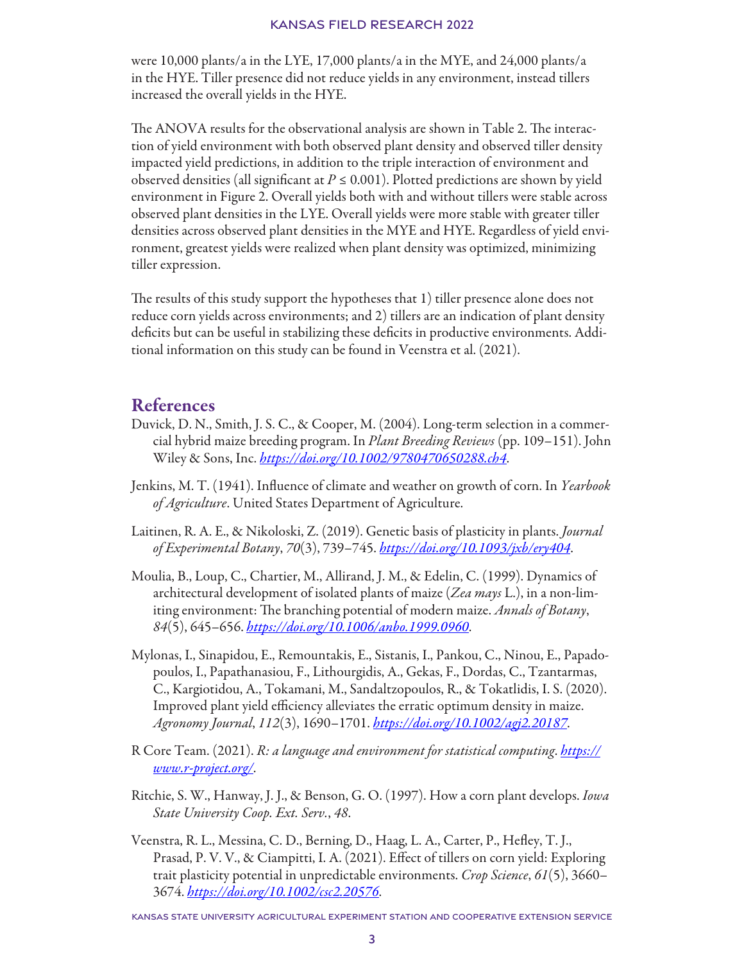were 10,000 plants/a in the LYE, 17,000 plants/a in the MYE, and 24,000 plants/a in the HYE. Tiller presence did not reduce yields in any environment, instead tillers increased the overall yields in the HYE.

The ANOVA results for the observational analysis are shown in Table 2. The interaction of yield environment with both observed plant density and observed tiller density impacted yield predictions, in addition to the triple interaction of environment and observed densities (all significant at  $P \leq 0.001$ ). Plotted predictions are shown by yield environment in Figure 2. Overall yields both with and without tillers were stable across observed plant densities in the LYE. Overall yields were more stable with greater tiller densities across observed plant densities in the MYE and HYE. Regardless of yield environment, greatest yields were realized when plant density was optimized, minimizing tiller expression.

The results of this study support the hypotheses that 1) tiller presence alone does not reduce corn yields across environments; and 2) tillers are an indication of plant density deficits but can be useful in stabilizing these deficits in productive environments. Additional information on this study can be found in Veenstra et al. (2021).

### References

- Duvick, D. N., Smith, J. S. C., & Cooper, M. (2004). Long-term selection in a commercial hybrid maize breeding program. In *Plant Breeding Reviews* (pp. 109–151). John Wiley & Sons, Inc. *<https://doi.org/10.1002/9780470650288.ch4>*.
- Jenkins, M. T. (1941). Influence of climate and weather on growth of corn. In *Yearbook of Agriculture*. United States Department of Agriculture.
- Laitinen, R. A. E., & Nikoloski, Z. (2019). Genetic basis of plasticity in plants. *Journal of Experimental Botany*, *70*(3), 739–745. *<https://doi.org/10.1093/jxb/ery404>*.
- Moulia, B., Loup, C., Chartier, M., Allirand, J. M., & Edelin, C. (1999). Dynamics of architectural development of isolated plants of maize (*Zea mays* L.), in a non-limiting environment: The branching potential of modern maize. *Annals of Botany*, *84*(5), 645–656. *<https://doi.org/10.1006/anbo.1999.0960>*.
- Mylonas, I., Sinapidou, E., Remountakis, E., Sistanis, I., Pankou, C., Ninou, E., Papadopoulos, I., Papathanasiou, F., Lithourgidis, A., Gekas, F., Dordas, C., Tzantarmas, C., Kargiotidou, A., Tokamani, M., Sandaltzopoulos, R., & Tokatlidis, I. S. (2020). Improved plant yield efficiency alleviates the erratic optimum density in maize. *Agronomy Journal*, *112*(3), 1690–1701. *<https://doi.org/10.1002/agj2.20187>*.
- R Core Team. (2021). *R: a language and environment for statistical computing*. *[https://](https://www.r-project.org/) [www.r-project.org/](https://www.r-project.org/)*.
- Ritchie, S. W., Hanway, J. J., & Benson, G. O. (1997). How a corn plant develops. *Iowa State University Coop. Ext. Serv.*, *48*.
- Veenstra, R. L., Messina, C. D., Berning, D., Haag, L. A., Carter, P., Hefley, T. J., Prasad, P. V. V., & Ciampitti, I. A. (2021). Effect of tillers on corn yield: Exploring trait plasticity potential in unpredictable environments. *Crop Science*, *61*(5), 3660– 3674. *https://doi.org/10.1002/csc2.20576*.

Kansas State University Agricultural Experiment Station and Cooperative Extension Service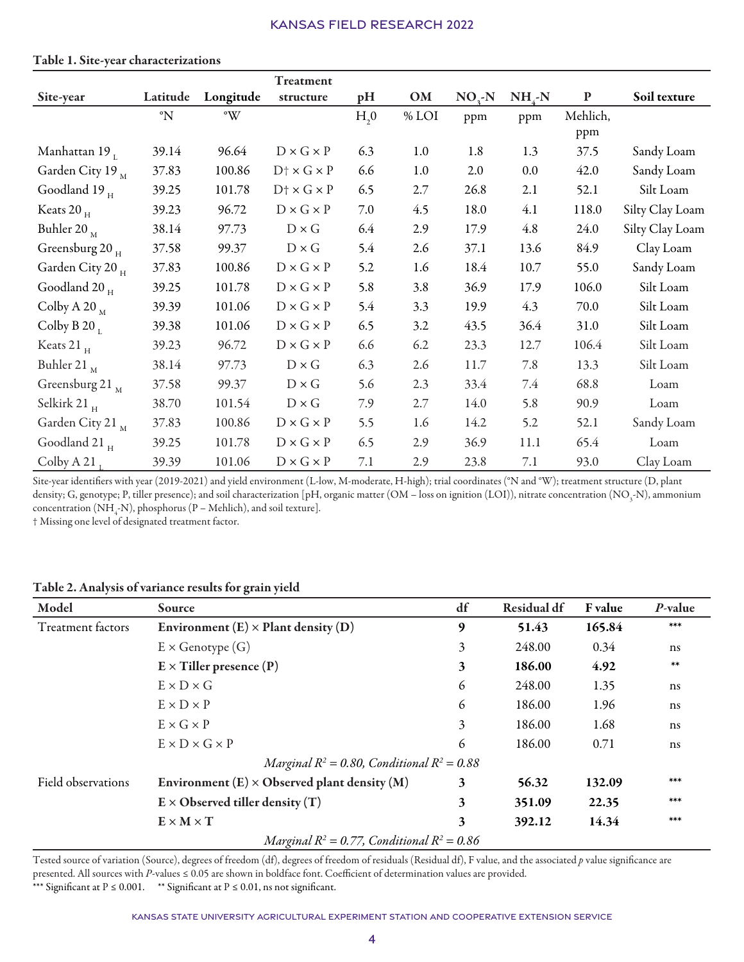|                                     |               |                        | Treatment                      |                  |       |         |            |           |                 |
|-------------------------------------|---------------|------------------------|--------------------------------|------------------|-------|---------|------------|-----------|-----------------|
| Site-year                           | Latitude      | Longitude              | structure                      | pH               | OM    | $NO3-N$ | $NH_{4}-N$ | ${\bf P}$ | Soil texture    |
|                                     | $\mathcal{N}$ | $\mathcal{C}^{\infty}$ |                                | H <sub>2</sub> 0 | % LOI | ppm     | ppm        | Mehlich,  |                 |
|                                     |               |                        |                                |                  |       |         |            | ppm       |                 |
| Manhattan 19 $_{\textrm{\tiny{L}}}$ | 39.14         | 96.64                  | $D \times G \times P$          | 6.3              | 1.0   | 1.8     | 1.3        | 37.5      | Sandy Loam      |
| Garden City 19 M                    | 37.83         | 100.86                 | $D \uparrow \times G \times P$ | 6.6              | 1.0   | 2.0     | 0.0        | 42.0      | Sandy Loam      |
| Goodland 19 $_H$                    | 39.25         | 101.78                 | $D \dagger \times G \times P$  | 6.5              | 2.7   | 26.8    | 2.1        | 52.1      | Silt Loam       |
| Keats 20 $_{\rm H}$                 | 39.23         | 96.72                  | $D \times G \times P$          | 7.0              | 4.5   | 18.0    | 4.1        | 118.0     | Silty Clay Loam |
| Buhler 20 $_{\textrm{M}}$           | 38.14         | 97.73                  | $D \times G$                   | 6.4              | 2.9   | 17.9    | 4.8        | 24.0      | Silty Clay Loam |
| Greensburg 20 $_H$                  | 37.58         | 99.37                  | $D \times G$                   | 5.4              | 2.6   | 37.1    | 13.6       | 84.9      | Clay Loam       |
| Garden City 20 H                    | 37.83         | 100.86                 | $D \times G \times P$          | 5.2              | 1.6   | 18.4    | 10.7       | 55.0      | Sandy Loam      |
| Goodland 20 $_{\rm H}$              | 39.25         | 101.78                 | $D \times G \times P$          | 5.8              | 3.8   | 36.9    | 17.9       | 106.0     | Silt Loam       |
| Colby A 20 $_{\rm M}$               | 39.39         | 101.06                 | $D \times G \times P$          | 5.4              | 3.3   | 19.9    | 4.3        | 70.0      | Silt Loam       |
| Colby B 20 $_1$                     | 39.38         | 101.06                 | $D \times G \times P$          | 6.5              | 3.2   | 43.5    | 36.4       | 31.0      | Silt Loam       |
| Keats 21 $_H$                       | 39.23         | 96.72                  | $D \times G \times P$          | 6.6              | 6.2   | 23.3    | 12.7       | 106.4     | Silt Loam       |
| Buhler 21 $_{\textrm{M}}$           | 38.14         | 97.73                  | $D \times G$                   | 6.3              | 2.6   | 11.7    | 7.8        | 13.3      | Silt Loam       |
| Greensburg 21 $_{\rm M}$            | 37.58         | 99.37                  | $D \times G$                   | 5.6              | 2.3   | 33.4    | 7.4        | 68.8      | Loam            |
| Selkirk 21 $_{\rm H}$               | 38.70         | 101.54                 | $D \times G$                   | 7.9              | 2.7   | 14.0    | 5.8        | 90.9      | Loam            |
| Garden City 21                      | 37.83         | 100.86                 | $D \times G \times P$          | 5.5              | 1.6   | 14.2    | 5.2        | 52.1      | Sandy Loam      |
| Goodland 21 $_{\rm H}$              | 39.25         | 101.78                 | $D \times G \times P$          | 6.5              | 2.9   | 36.9    | 11.1       | 65.4      | Loam            |
| Colby A 21                          | 39.39         | 101.06                 | $D \times G \times P$          | 7.1              | 2.9   | 23.8    | 7.1        | 93.0      | Clay Loam       |

#### Table 1. Site-year characterizations

Site-year identifiers with year (2019-2021) and yield environment (L-low, M-moderate, H-high); trial coordinates (°N and °W); treatment structure (D, plant density; G, genotype; P, tiller presence); and soil characterization [pH, organic matter (OM – loss on ignition (LOI)), nitrate concentration (NO<sub>3</sub>-N), ammonium concentration (NH<sub>4</sub>-N), phosphorus (P – Mehlich), and soil texture].

† Missing one level of designated treatment factor.

#### Table 2. Analysis of variance results for grain yield

| Model              | Source                                                | df | Residual df | F value | P-value |
|--------------------|-------------------------------------------------------|----|-------------|---------|---------|
| Treatment factors  | Environment $(E) \times$ Plant density $(D)$          | 9  | 51.43       | 165.84  | ***     |
|                    | $E \times$ Genotype $(G)$                             | 3  | 248.00      | 0.34    | ns      |
|                    | $E \times$ Tiller presence (P)                        |    | 186.00      | 4.92    | $**$    |
|                    | $E \times D \times G$                                 | 6  | 248.00      | 1.35    | ns      |
|                    | $E \times D \times P$                                 | 6  | 186.00      | 1.96    | ns      |
|                    | $E \times G \times P$                                 | 3  | 186.00      | 1.68    | ns      |
|                    | $E \times D \times G \times P$                        | 6  | 186.00      | 0.71    | ns      |
|                    | Marginal $R^2 = 0.80$ , Conditional $R^2 = 0.88$      |    |             |         |         |
| Field observations | Environment $(E) \times$ Observed plant density $(M)$ | 3  | 56.32       | 132.09  | ***     |
|                    | $E \times$ Observed tiller density (T)                | 3  | 351.09      | 22.35   | ***     |
|                    | $E \times M \times T$                                 | 3  | 392.12      | 14.34   | ***     |
|                    | Marginal $R^2 = 0.77$ , Conditional $R^2 = 0.86$      |    |             |         |         |

Tested source of variation (Source), degrees of freedom (df), degrees of freedom of residuals (Residual df), F value, and the associated *p* value significance are presented. All sources with *P-*values ≤ 0.05 are shown in boldface font. Coefficient of determination values are provided. \*\*\* Significant at P ≤ 0.001. \*\* Significant at P ≤ 0.01, ns not significant.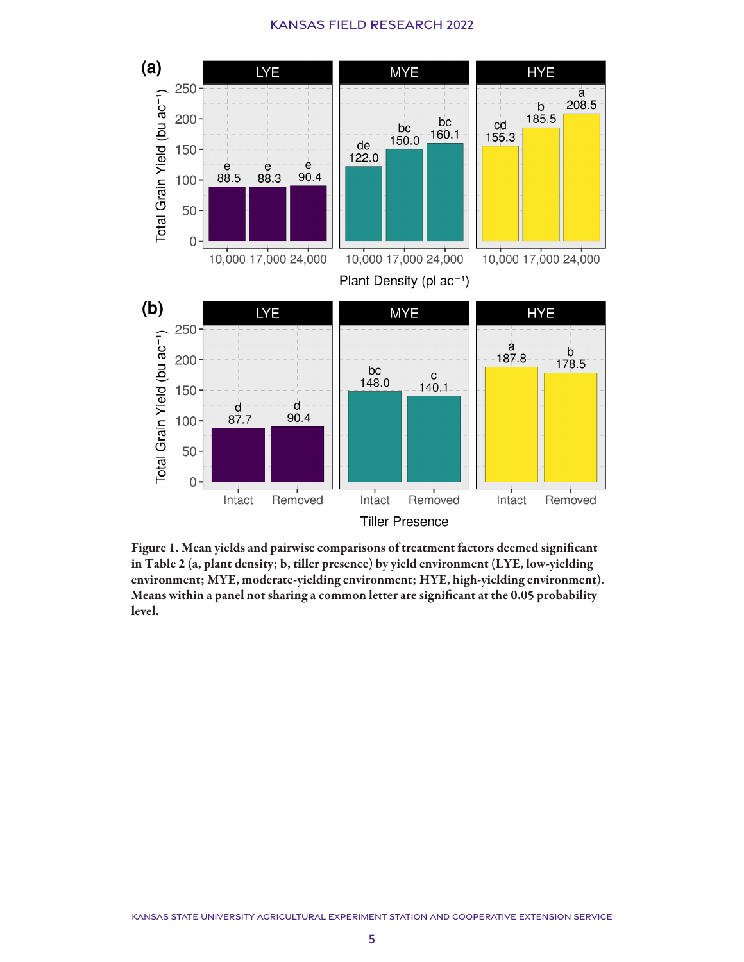

Figure 1. Mean yields and pairwise comparisons of treatment factors deemed significant in Table 2 (a, plant density; b, tiller presence) by yield environment (LYE, low-yielding environment; MYE, moderate-yielding environment; HYE, high-yielding environment). Means within a panel not sharing a common letter are significant at the 0.05 probability level.